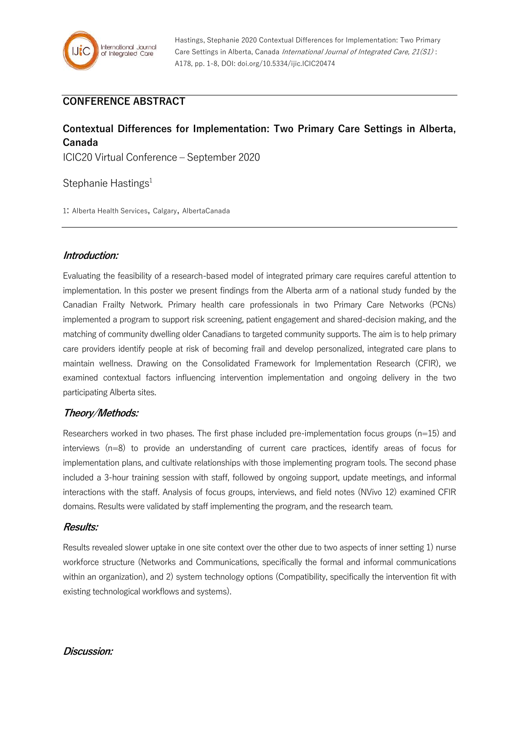

# **CONFERENCE ABSTRACT**

# **Contextual Differences for Implementation: Two Primary Care Settings in Alberta, Canada**

ICIC20 Virtual Conference – September 2020

Stephanie Hastings<sup>1</sup>

1: Alberta Health Services, Calgary, AlbertaCanada

#### **Introduction:**

Evaluating the feasibility of a research-based model of integrated primary care requires careful attention to implementation. In this poster we present findings from the Alberta arm of a national study funded by the Canadian Frailty Network. Primary health care professionals in two Primary Care Networks (PCNs) implemented a program to support risk screening, patient engagement and shared-decision making, and the matching of community dwelling older Canadians to targeted community supports. The aim is to help primary care providers identify people at risk of becoming frail and develop personalized, integrated care plans to maintain wellness. Drawing on the Consolidated Framework for Implementation Research (CFIR), we examined contextual factors influencing intervention implementation and ongoing delivery in the two participating Alberta sites.

## **Theory/Methods:**

Researchers worked in two phases. The first phase included pre-implementation focus groups (n=15) and interviews (n=8) to provide an understanding of current care practices, identify areas of focus for implementation plans, and cultivate relationships with those implementing program tools. The second phase included a 3-hour training session with staff, followed by ongoing support, update meetings, and informal interactions with the staff. Analysis of focus groups, interviews, and field notes (NVivo 12) examined CFIR domains. Results were validated by staff implementing the program, and the research team.

#### **Results:**

Results revealed slower uptake in one site context over the other due to two aspects of inner setting 1) nurse workforce structure (Networks and Communications, specifically the formal and informal communications within an organization), and 2) system technology options (Compatibility, specifically the intervention fit with existing technological workflows and systems).

#### **Discussion:**